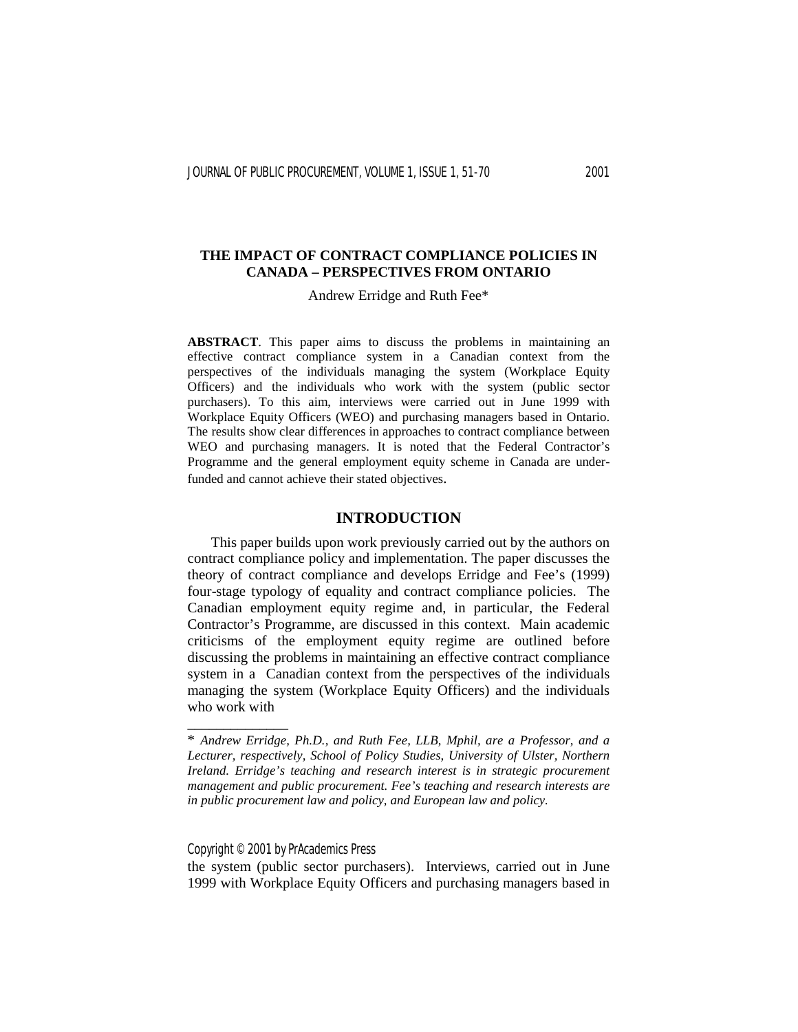# **THE IMPACT OF CONTRACT COMPLIANCE POLICIES IN CANADA – PERSPECTIVES FROM ONTARIO**

# Andrew Erridge and Ruth Fee\*

**ABSTRACT**. This paper aims to discuss the problems in maintaining an effective contract compliance system in a Canadian context from the perspectives of the individuals managing the system (Workplace Equity Officers) and the individuals who work with the system (public sector purchasers). To this aim, interviews were carried out in June 1999 with Workplace Equity Officers (WEO) and purchasing managers based in Ontario. The results show clear differences in approaches to contract compliance between WEO and purchasing managers. It is noted that the Federal Contractor's Programme and the general employment equity scheme in Canada are underfunded and cannot achieve their stated objectives.

## **INTRODUCTION**

 This paper builds upon work previously carried out by the authors on contract compliance policy and implementation. The paper discusses the theory of contract compliance and develops Erridge and Fee's (1999) four-stage typology of equality and contract compliance policies. The Canadian employment equity regime and, in particular, the Federal Contractor's Programme, are discussed in this context. Main academic criticisms of the employment equity regime are outlined before discussing the problems in maintaining an effective contract compliance system in a Canadian context from the perspectives of the individuals managing the system (Workplace Equity Officers) and the individuals who work with

Copyright © 2001 by PrAcademics Press

\_\_\_\_\_\_\_\_\_\_\_\_\_\_

the system (public sector purchasers). Interviews, carried out in June 1999 with Workplace Equity Officers and purchasing managers based in

<sup>\*</sup> *Andrew Erridge, Ph.D., and Ruth Fee, LLB, Mphil, are a Professor, and a Lecturer, respectively, School of Policy Studies, University of Ulster, Northern Ireland. Erridge's teaching and research interest is in strategic procurement management and public procurement. Fee's teaching and research interests are in public procurement law and policy, and European law and policy.*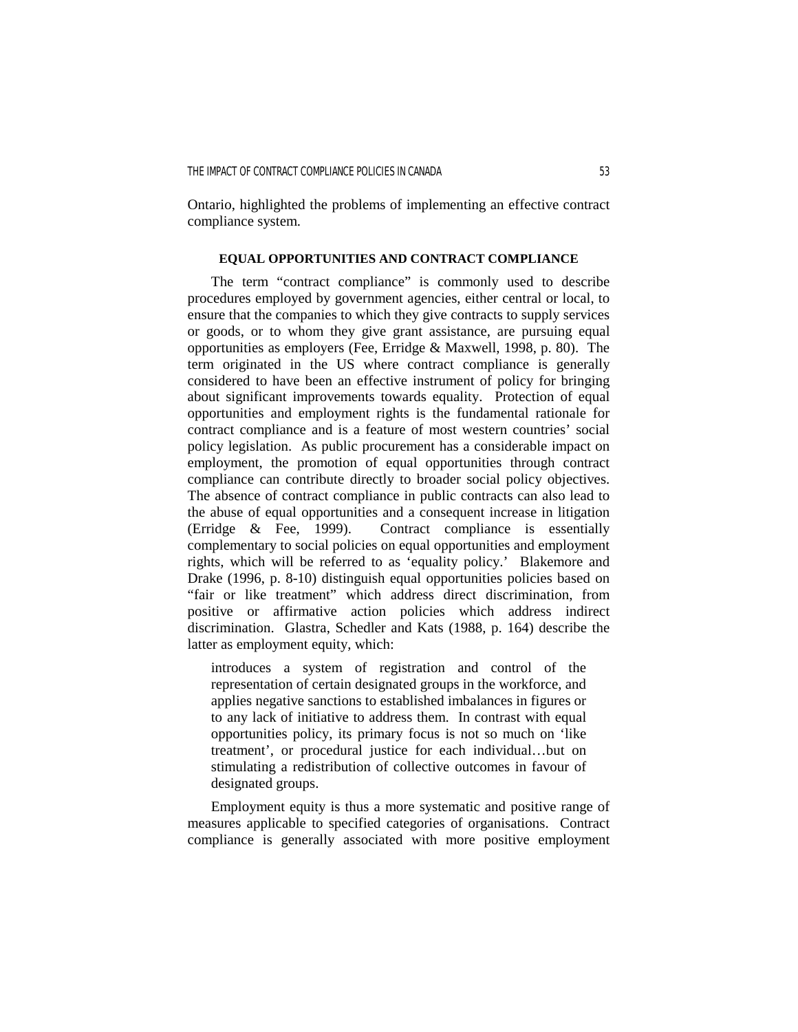Ontario, highlighted the problems of implementing an effective contract compliance system.

### **EQUAL OPPORTUNITIES AND CONTRACT COMPLIANCE**

 The term "contract compliance" is commonly used to describe procedures employed by government agencies, either central or local, to ensure that the companies to which they give contracts to supply services or goods, or to whom they give grant assistance, are pursuing equal opportunities as employers (Fee, Erridge & Maxwell, 1998, p. 80). The term originated in the US where contract compliance is generally considered to have been an effective instrument of policy for bringing about significant improvements towards equality. Protection of equal opportunities and employment rights is the fundamental rationale for contract compliance and is a feature of most western countries' social policy legislation. As public procurement has a considerable impact on employment, the promotion of equal opportunities through contract compliance can contribute directly to broader social policy objectives. The absence of contract compliance in public contracts can also lead to the abuse of equal opportunities and a consequent increase in litigation (Erridge & Fee, 1999). Contract compliance is essentially complementary to social policies on equal opportunities and employment rights, which will be referred to as 'equality policy.' Blakemore and Drake (1996, p. 8-10) distinguish equal opportunities policies based on "fair or like treatment" which address direct discrimination, from positive or affirmative action policies which address indirect discrimination. Glastra, Schedler and Kats (1988, p. 164) describe the latter as employment equity, which:

introduces a system of registration and control of the representation of certain designated groups in the workforce, and applies negative sanctions to established imbalances in figures or to any lack of initiative to address them. In contrast with equal opportunities policy, its primary focus is not so much on 'like treatment', or procedural justice for each individual…but on stimulating a redistribution of collective outcomes in favour of designated groups.

 Employment equity is thus a more systematic and positive range of measures applicable to specified categories of organisations. Contract compliance is generally associated with more positive employment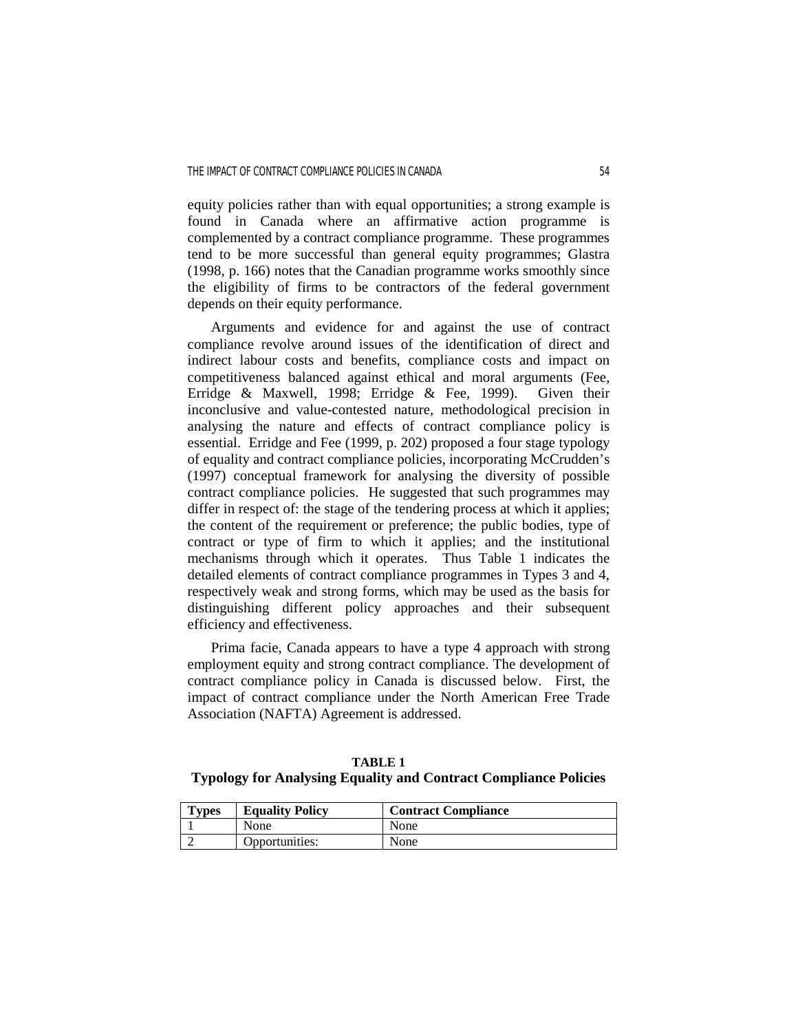equity policies rather than with equal opportunities; a strong example is found in Canada where an affirmative action programme is complemented by a contract compliance programme. These programmes tend to be more successful than general equity programmes; Glastra (1998, p. 166) notes that the Canadian programme works smoothly since the eligibility of firms to be contractors of the federal government depends on their equity performance.

 Arguments and evidence for and against the use of contract compliance revolve around issues of the identification of direct and indirect labour costs and benefits, compliance costs and impact on competitiveness balanced against ethical and moral arguments (Fee, Erridge & Maxwell, 1998; Erridge & Fee, 1999). Given their inconclusive and value-contested nature, methodological precision in analysing the nature and effects of contract compliance policy is essential. Erridge and Fee (1999, p. 202) proposed a four stage typology of equality and contract compliance policies, incorporating McCrudden's (1997) conceptual framework for analysing the diversity of possible contract compliance policies. He suggested that such programmes may differ in respect of: the stage of the tendering process at which it applies; the content of the requirement or preference; the public bodies, type of contract or type of firm to which it applies; and the institutional mechanisms through which it operates. Thus Table 1 indicates the detailed elements of contract compliance programmes in Types 3 and 4, respectively weak and strong forms, which may be used as the basis for distinguishing different policy approaches and their subsequent efficiency and effectiveness.

 Prima facie, Canada appears to have a type 4 approach with strong employment equity and strong contract compliance. The development of contract compliance policy in Canada is discussed below. First, the impact of contract compliance under the North American Free Trade Association (NAFTA) Agreement is addressed.

**TABLE 1 Typology for Analysing Equality and Contract Compliance Policies** 

| <b>Types</b> | <b>Equality Policy</b> | <b>Contract Compliance</b> |
|--------------|------------------------|----------------------------|
|              | None                   | None                       |
|              | Opportunities:         | None                       |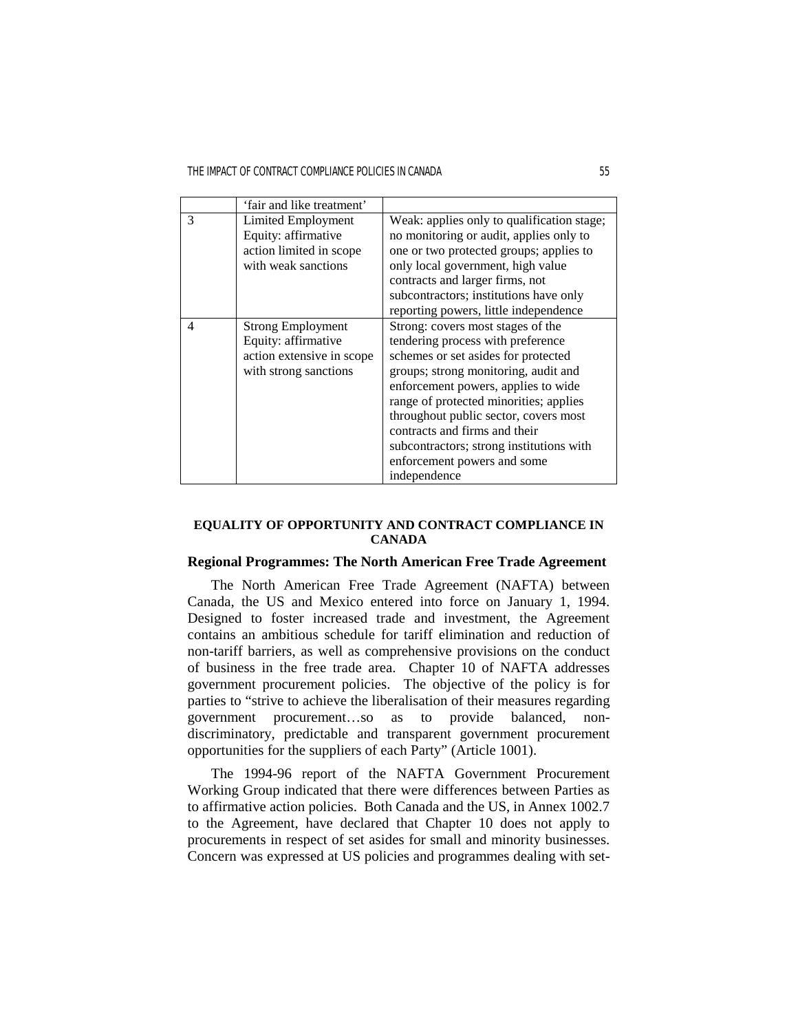THE IMPACT OF CONTRACT COMPLIANCE POLICIES IN CANADA 55

|   | 'fair and like treatment'                                                                             |                                                                                                                                                                                                                                                                                                                                                                                                             |
|---|-------------------------------------------------------------------------------------------------------|-------------------------------------------------------------------------------------------------------------------------------------------------------------------------------------------------------------------------------------------------------------------------------------------------------------------------------------------------------------------------------------------------------------|
| 3 | Limited Employment<br>Equity: affirmative<br>action limited in scope<br>with weak sanctions           | Weak: applies only to qualification stage;<br>no monitoring or audit, applies only to<br>one or two protected groups; applies to<br>only local government, high value<br>contracts and larger firms, not<br>subcontractors; institutions have only<br>reporting powers, little independence                                                                                                                 |
| 4 | <b>Strong Employment</b><br>Equity: affirmative<br>action extensive in scope<br>with strong sanctions | Strong: covers most stages of the<br>tendering process with preference<br>schemes or set asides for protected<br>groups; strong monitoring, audit and<br>enforcement powers, applies to wide<br>range of protected minorities; applies<br>throughout public sector, covers most<br>contracts and firms and their<br>subcontractors; strong institutions with<br>enforcement powers and some<br>independence |

# **EQUALITY OF OPPORTUNITY AND CONTRACT COMPLIANCE IN CANADA**

# **Regional Programmes: The North American Free Trade Agreement**

 The North American Free Trade Agreement (NAFTA) between Canada, the US and Mexico entered into force on January 1, 1994. Designed to foster increased trade and investment, the Agreement contains an ambitious schedule for tariff elimination and reduction of non-tariff barriers, as well as comprehensive provisions on the conduct of business in the free trade area. Chapter 10 of NAFTA addresses government procurement policies. The objective of the policy is for parties to "strive to achieve the liberalisation of their measures regarding government procurement…so as to provide balanced, nondiscriminatory, predictable and transparent government procurement opportunities for the suppliers of each Party" (Article 1001).

 The 1994-96 report of the NAFTA Government Procurement Working Group indicated that there were differences between Parties as to affirmative action policies. Both Canada and the US, in Annex 1002.7 to the Agreement, have declared that Chapter 10 does not apply to procurements in respect of set asides for small and minority businesses. Concern was expressed at US policies and programmes dealing with set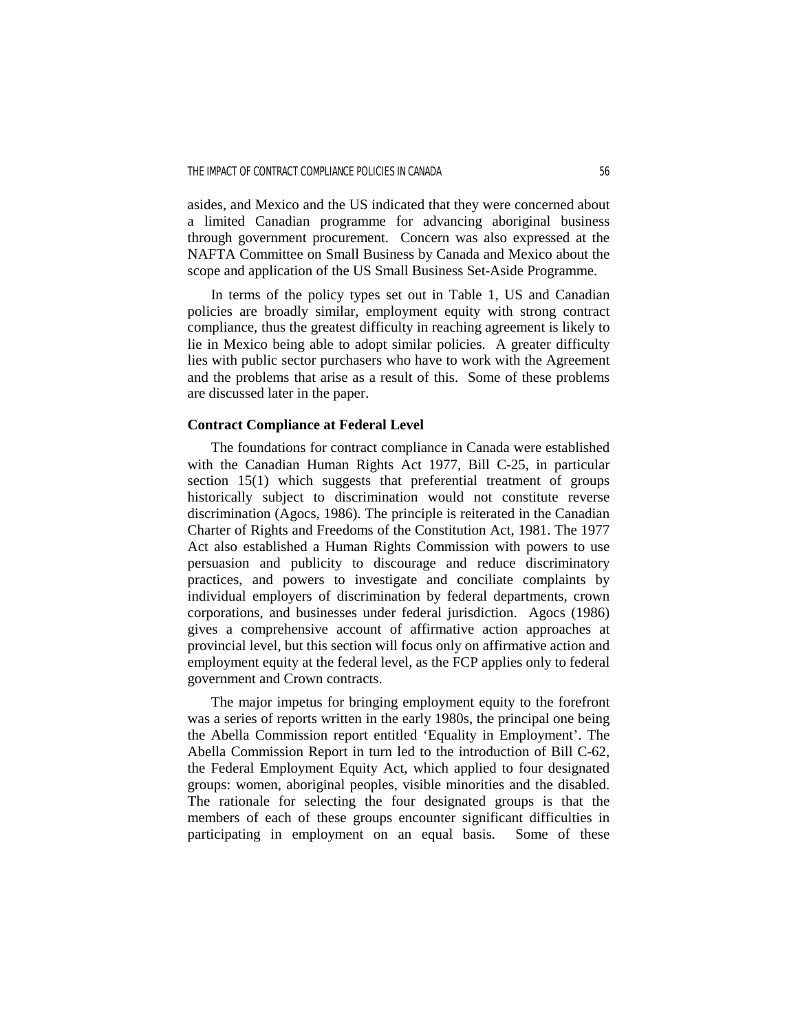asides, and Mexico and the US indicated that they were concerned about a limited Canadian programme for advancing aboriginal business through government procurement. Concern was also expressed at the NAFTA Committee on Small Business by Canada and Mexico about the scope and application of the US Small Business Set-Aside Programme.

 In terms of the policy types set out in Table 1, US and Canadian policies are broadly similar, employment equity with strong contract compliance, thus the greatest difficulty in reaching agreement is likely to lie in Mexico being able to adopt similar policies. A greater difficulty lies with public sector purchasers who have to work with the Agreement and the problems that arise as a result of this. Some of these problems are discussed later in the paper.

### **Contract Compliance at Federal Level**

 The foundations for contract compliance in Canada were established with the Canadian Human Rights Act 1977, Bill C-25, in particular section 15(1) which suggests that preferential treatment of groups historically subject to discrimination would not constitute reverse discrimination (Agocs, 1986). The principle is reiterated in the Canadian Charter of Rights and Freedoms of the Constitution Act, 1981. The 1977 Act also established a Human Rights Commission with powers to use persuasion and publicity to discourage and reduce discriminatory practices, and powers to investigate and conciliate complaints by individual employers of discrimination by federal departments, crown corporations, and businesses under federal jurisdiction. Agocs (1986) gives a comprehensive account of affirmative action approaches at provincial level, but this section will focus only on affirmative action and employment equity at the federal level, as the FCP applies only to federal government and Crown contracts.

 The major impetus for bringing employment equity to the forefront was a series of reports written in the early 1980s, the principal one being the Abella Commission report entitled 'Equality in Employment'. The Abella Commission Report in turn led to the introduction of Bill C-62, the Federal Employment Equity Act, which applied to four designated groups: women, aboriginal peoples, visible minorities and the disabled. The rationale for selecting the four designated groups is that the members of each of these groups encounter significant difficulties in participating in employment on an equal basis. Some of these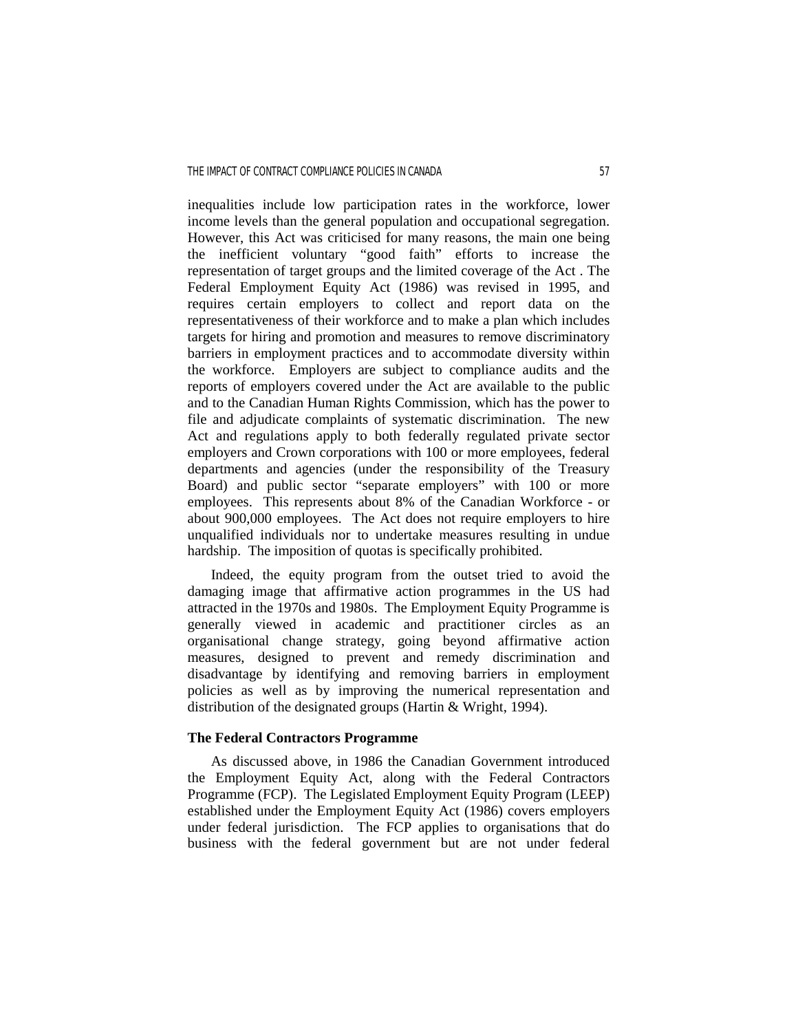inequalities include low participation rates in the workforce, lower income levels than the general population and occupational segregation. However, this Act was criticised for many reasons, the main one being the inefficient voluntary "good faith" efforts to increase the representation of target groups and the limited coverage of the Act . The Federal Employment Equity Act (1986) was revised in 1995, and requires certain employers to collect and report data on the representativeness of their workforce and to make a plan which includes targets for hiring and promotion and measures to remove discriminatory barriers in employment practices and to accommodate diversity within the workforce. Employers are subject to compliance audits and the reports of employers covered under the Act are available to the public and to the Canadian Human Rights Commission, which has the power to file and adjudicate complaints of systematic discrimination. The new Act and regulations apply to both federally regulated private sector employers and Crown corporations with 100 or more employees, federal departments and agencies (under the responsibility of the Treasury Board) and public sector "separate employers" with 100 or more employees. This represents about 8% of the Canadian Workforce - or about 900,000 employees. The Act does not require employers to hire unqualified individuals nor to undertake measures resulting in undue hardship. The imposition of quotas is specifically prohibited.

 Indeed, the equity program from the outset tried to avoid the damaging image that affirmative action programmes in the US had attracted in the 1970s and 1980s. The Employment Equity Programme is generally viewed in academic and practitioner circles as an organisational change strategy, going beyond affirmative action measures, designed to prevent and remedy discrimination and disadvantage by identifying and removing barriers in employment policies as well as by improving the numerical representation and distribution of the designated groups (Hartin & Wright, 1994).

### **The Federal Contractors Programme**

 As discussed above, in 1986 the Canadian Government introduced the Employment Equity Act, along with the Federal Contractors Programme (FCP). The Legislated Employment Equity Program (LEEP) established under the Employment Equity Act (1986) covers employers under federal jurisdiction. The FCP applies to organisations that do business with the federal government but are not under federal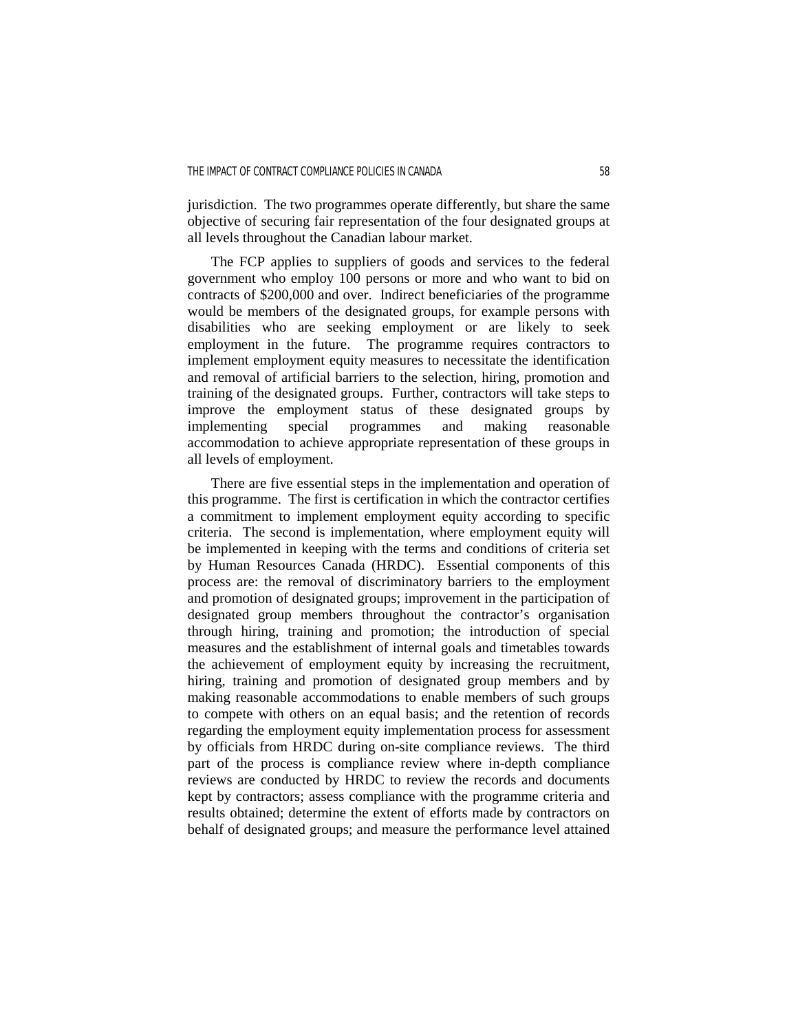jurisdiction. The two programmes operate differently, but share the same objective of securing fair representation of the four designated groups at all levels throughout the Canadian labour market.

 The FCP applies to suppliers of goods and services to the federal government who employ 100 persons or more and who want to bid on contracts of \$200,000 and over. Indirect beneficiaries of the programme would be members of the designated groups, for example persons with disabilities who are seeking employment or are likely to seek employment in the future. The programme requires contractors to implement employment equity measures to necessitate the identification and removal of artificial barriers to the selection, hiring, promotion and training of the designated groups. Further, contractors will take steps to improve the employment status of these designated groups by implementing special programmes and making reasonable accommodation to achieve appropriate representation of these groups in all levels of employment.

 There are five essential steps in the implementation and operation of this programme. The first is certification in which the contractor certifies a commitment to implement employment equity according to specific criteria. The second is implementation, where employment equity will be implemented in keeping with the terms and conditions of criteria set by Human Resources Canada (HRDC). Essential components of this process are: the removal of discriminatory barriers to the employment and promotion of designated groups; improvement in the participation of designated group members throughout the contractor's organisation through hiring, training and promotion; the introduction of special measures and the establishment of internal goals and timetables towards the achievement of employment equity by increasing the recruitment, hiring, training and promotion of designated group members and by making reasonable accommodations to enable members of such groups to compete with others on an equal basis; and the retention of records regarding the employment equity implementation process for assessment by officials from HRDC during on-site compliance reviews. The third part of the process is compliance review where in-depth compliance reviews are conducted by HRDC to review the records and documents kept by contractors; assess compliance with the programme criteria and results obtained; determine the extent of efforts made by contractors on behalf of designated groups; and measure the performance level attained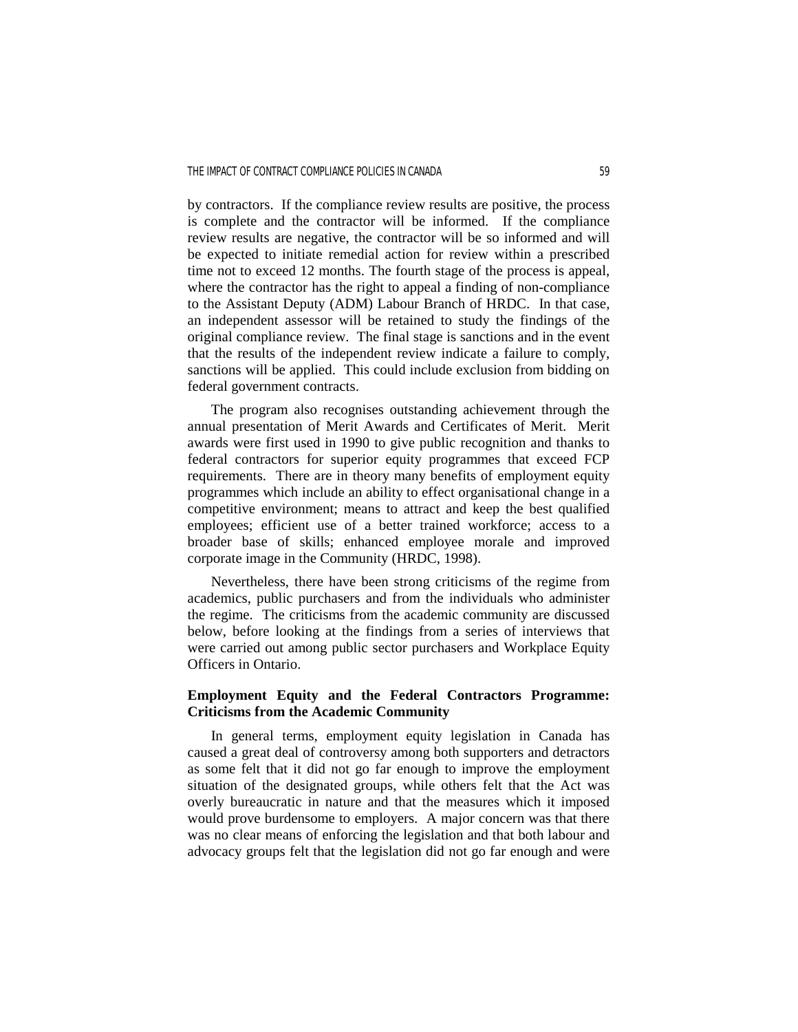by contractors. If the compliance review results are positive, the process is complete and the contractor will be informed. If the compliance review results are negative, the contractor will be so informed and will be expected to initiate remedial action for review within a prescribed time not to exceed 12 months. The fourth stage of the process is appeal, where the contractor has the right to appeal a finding of non-compliance to the Assistant Deputy (ADM) Labour Branch of HRDC. In that case, an independent assessor will be retained to study the findings of the original compliance review. The final stage is sanctions and in the event that the results of the independent review indicate a failure to comply, sanctions will be applied. This could include exclusion from bidding on federal government contracts.

 The program also recognises outstanding achievement through the annual presentation of Merit Awards and Certificates of Merit. Merit awards were first used in 1990 to give public recognition and thanks to federal contractors for superior equity programmes that exceed FCP requirements. There are in theory many benefits of employment equity programmes which include an ability to effect organisational change in a competitive environment; means to attract and keep the best qualified employees; efficient use of a better trained workforce; access to a broader base of skills; enhanced employee morale and improved corporate image in the Community (HRDC, 1998).

 Nevertheless, there have been strong criticisms of the regime from academics, public purchasers and from the individuals who administer the regime. The criticisms from the academic community are discussed below, before looking at the findings from a series of interviews that were carried out among public sector purchasers and Workplace Equity Officers in Ontario.

# **Employment Equity and the Federal Contractors Programme: Criticisms from the Academic Community**

In general terms, employment equity legislation in Canada has caused a great deal of controversy among both supporters and detractors as some felt that it did not go far enough to improve the employment situation of the designated groups, while others felt that the Act was overly bureaucratic in nature and that the measures which it imposed would prove burdensome to employers. A major concern was that there was no clear means of enforcing the legislation and that both labour and advocacy groups felt that the legislation did not go far enough and were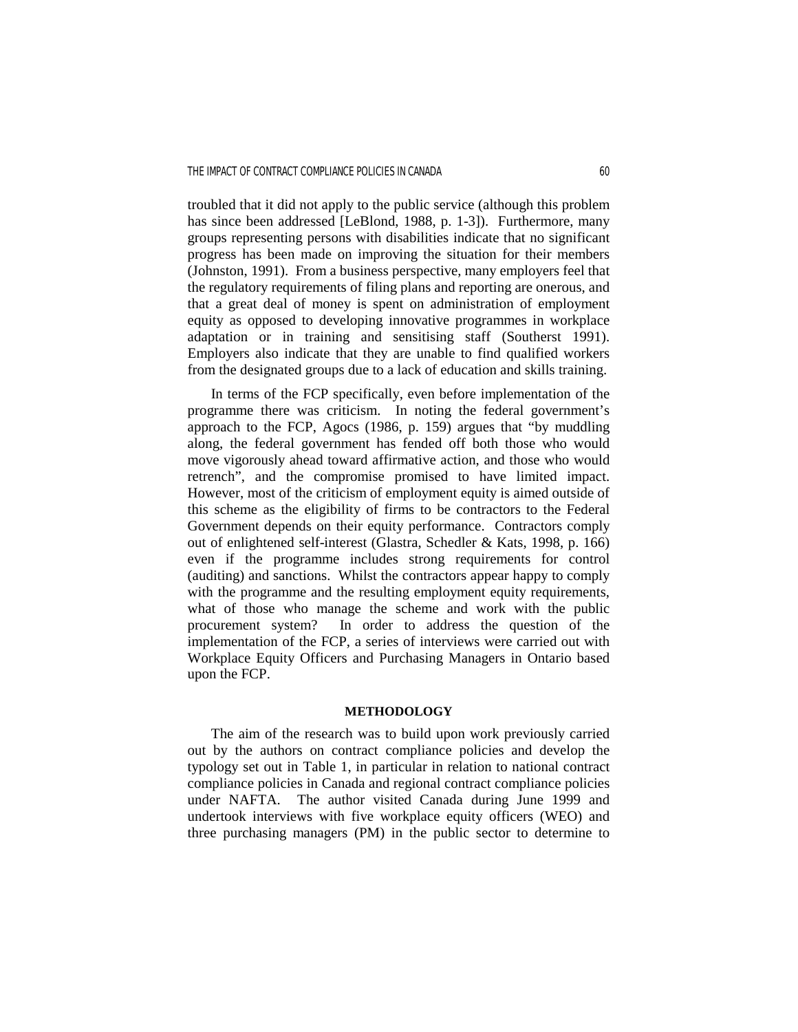troubled that it did not apply to the public service (although this problem has since been addressed [LeBlond, 1988, p. 1-3]). Furthermore, many groups representing persons with disabilities indicate that no significant progress has been made on improving the situation for their members (Johnston, 1991). From a business perspective, many employers feel that the regulatory requirements of filing plans and reporting are onerous, and that a great deal of money is spent on administration of employment equity as opposed to developing innovative programmes in workplace adaptation or in training and sensitising staff (Southerst 1991). Employers also indicate that they are unable to find qualified workers from the designated groups due to a lack of education and skills training.

 In terms of the FCP specifically, even before implementation of the programme there was criticism. In noting the federal government's approach to the FCP, Agocs (1986, p. 159) argues that "by muddling along, the federal government has fended off both those who would move vigorously ahead toward affirmative action, and those who would retrench", and the compromise promised to have limited impact. However, most of the criticism of employment equity is aimed outside of this scheme as the eligibility of firms to be contractors to the Federal Government depends on their equity performance. Contractors comply out of enlightened self-interest (Glastra, Schedler & Kats, 1998, p. 166) even if the programme includes strong requirements for control (auditing) and sanctions. Whilst the contractors appear happy to comply with the programme and the resulting employment equity requirements, what of those who manage the scheme and work with the public procurement system? In order to address the question of the implementation of the FCP, a series of interviews were carried out with Workplace Equity Officers and Purchasing Managers in Ontario based upon the FCP.

#### **METHODOLOGY**

The aim of the research was to build upon work previously carried out by the authors on contract compliance policies and develop the typology set out in Table 1, in particular in relation to national contract compliance policies in Canada and regional contract compliance policies under NAFTA. The author visited Canada during June 1999 and undertook interviews with five workplace equity officers (WEO) and three purchasing managers (PM) in the public sector to determine to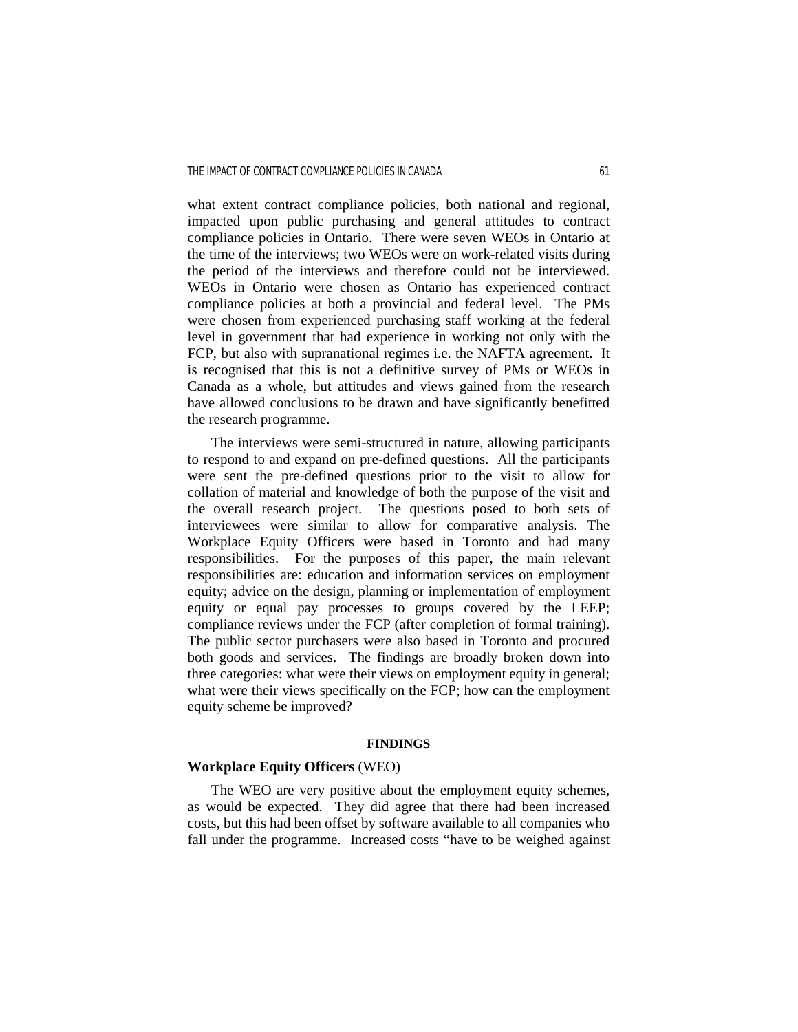what extent contract compliance policies, both national and regional, impacted upon public purchasing and general attitudes to contract compliance policies in Ontario. There were seven WEOs in Ontario at the time of the interviews; two WEOs were on work-related visits during the period of the interviews and therefore could not be interviewed. WEOs in Ontario were chosen as Ontario has experienced contract compliance policies at both a provincial and federal level. The PMs were chosen from experienced purchasing staff working at the federal level in government that had experience in working not only with the FCP, but also with supranational regimes i.e. the NAFTA agreement. It is recognised that this is not a definitive survey of PMs or WEOs in Canada as a whole, but attitudes and views gained from the research have allowed conclusions to be drawn and have significantly benefitted the research programme.

 The interviews were semi-structured in nature, allowing participants to respond to and expand on pre-defined questions. All the participants were sent the pre-defined questions prior to the visit to allow for collation of material and knowledge of both the purpose of the visit and the overall research project. The questions posed to both sets of interviewees were similar to allow for comparative analysis. The Workplace Equity Officers were based in Toronto and had many responsibilities. For the purposes of this paper, the main relevant responsibilities are: education and information services on employment equity; advice on the design, planning or implementation of employment equity or equal pay processes to groups covered by the LEEP; compliance reviews under the FCP (after completion of formal training). The public sector purchasers were also based in Toronto and procured both goods and services. The findings are broadly broken down into three categories: what were their views on employment equity in general; what were their views specifically on the FCP; how can the employment equity scheme be improved?

### **FINDINGS**

### **Workplace Equity Officers** (WEO)

 The WEO are very positive about the employment equity schemes, as would be expected. They did agree that there had been increased costs, but this had been offset by software available to all companies who fall under the programme. Increased costs "have to be weighed against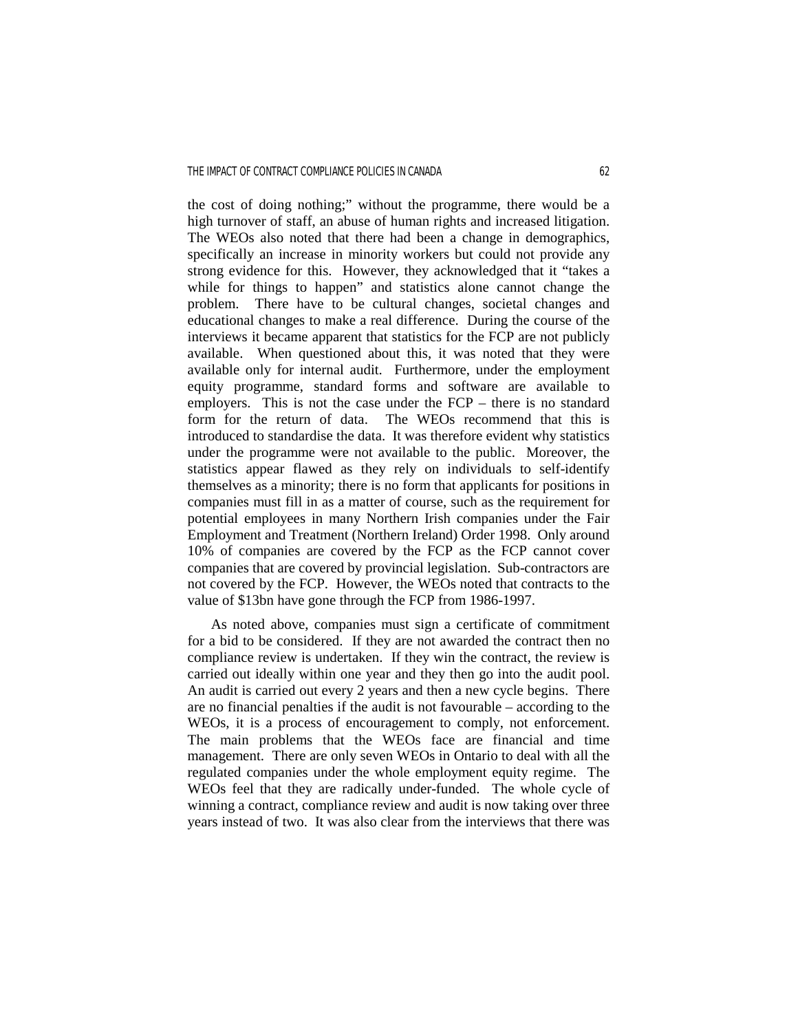the cost of doing nothing;" without the programme, there would be a high turnover of staff, an abuse of human rights and increased litigation. The WEOs also noted that there had been a change in demographics, specifically an increase in minority workers but could not provide any strong evidence for this. However, they acknowledged that it "takes a while for things to happen" and statistics alone cannot change the problem. There have to be cultural changes, societal changes and educational changes to make a real difference. During the course of the interviews it became apparent that statistics for the FCP are not publicly available. When questioned about this, it was noted that they were available only for internal audit. Furthermore, under the employment equity programme, standard forms and software are available to employers. This is not the case under the FCP – there is no standard form for the return of data. The WEOs recommend that this is introduced to standardise the data. It was therefore evident why statistics under the programme were not available to the public. Moreover, the statistics appear flawed as they rely on individuals to self-identify themselves as a minority; there is no form that applicants for positions in companies must fill in as a matter of course, such as the requirement for potential employees in many Northern Irish companies under the Fair Employment and Treatment (Northern Ireland) Order 1998. Only around 10% of companies are covered by the FCP as the FCP cannot cover companies that are covered by provincial legislation. Sub-contractors are not covered by the FCP. However, the WEOs noted that contracts to the value of \$13bn have gone through the FCP from 1986-1997.

 As noted above, companies must sign a certificate of commitment for a bid to be considered. If they are not awarded the contract then no compliance review is undertaken. If they win the contract, the review is carried out ideally within one year and they then go into the audit pool. An audit is carried out every 2 years and then a new cycle begins. There are no financial penalties if the audit is not favourable – according to the WEOs, it is a process of encouragement to comply, not enforcement. The main problems that the WEOs face are financial and time management. There are only seven WEOs in Ontario to deal with all the regulated companies under the whole employment equity regime. The WEOs feel that they are radically under-funded. The whole cycle of winning a contract, compliance review and audit is now taking over three years instead of two. It was also clear from the interviews that there was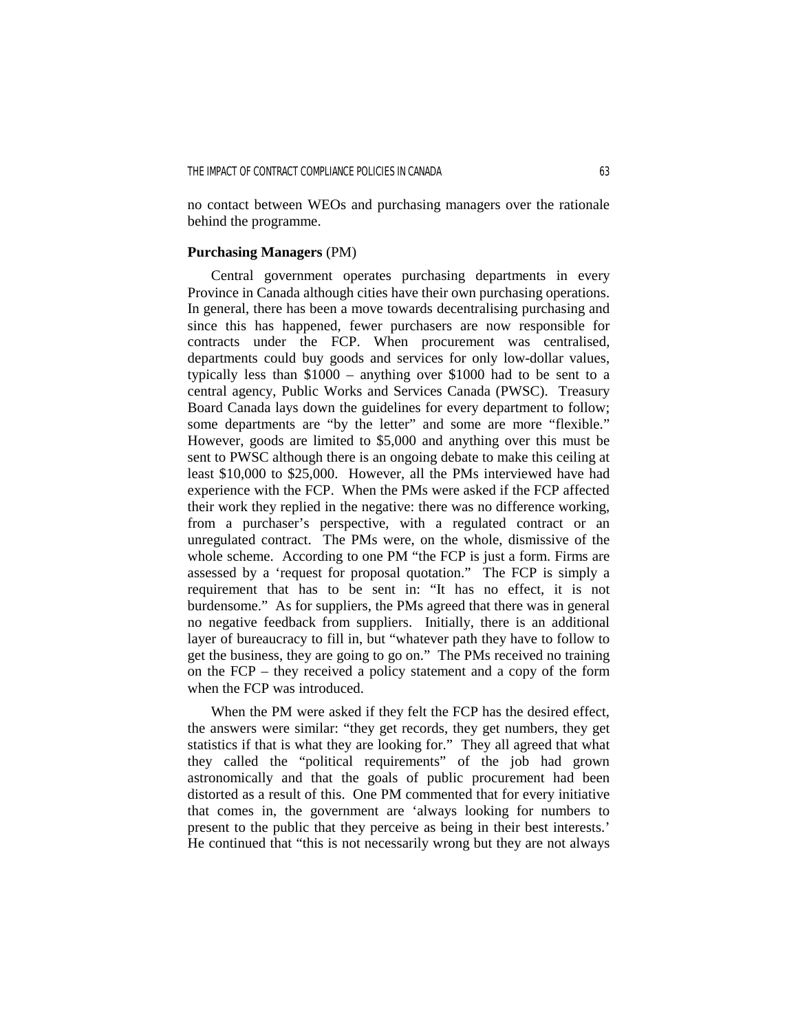no contact between WEOs and purchasing managers over the rationale behind the programme.

### **Purchasing Managers** (PM)

 Central government operates purchasing departments in every Province in Canada although cities have their own purchasing operations. In general, there has been a move towards decentralising purchasing and since this has happened, fewer purchasers are now responsible for contracts under the FCP. When procurement was centralised, departments could buy goods and services for only low-dollar values, typically less than \$1000 – anything over \$1000 had to be sent to a central agency, Public Works and Services Canada (PWSC). Treasury Board Canada lays down the guidelines for every department to follow; some departments are "by the letter" and some are more "flexible." However, goods are limited to \$5,000 and anything over this must be sent to PWSC although there is an ongoing debate to make this ceiling at least \$10,000 to \$25,000. However, all the PMs interviewed have had experience with the FCP. When the PMs were asked if the FCP affected their work they replied in the negative: there was no difference working, from a purchaser's perspective, with a regulated contract or an unregulated contract. The PMs were, on the whole, dismissive of the whole scheme. According to one PM "the FCP is just a form. Firms are assessed by a 'request for proposal quotation." The FCP is simply a requirement that has to be sent in: "It has no effect, it is not burdensome." As for suppliers, the PMs agreed that there was in general no negative feedback from suppliers. Initially, there is an additional layer of bureaucracy to fill in, but "whatever path they have to follow to get the business, they are going to go on." The PMs received no training on the FCP – they received a policy statement and a copy of the form when the FCP was introduced.

 When the PM were asked if they felt the FCP has the desired effect, the answers were similar: "they get records, they get numbers, they get statistics if that is what they are looking for." They all agreed that what they called the "political requirements" of the job had grown astronomically and that the goals of public procurement had been distorted as a result of this. One PM commented that for every initiative that comes in, the government are 'always looking for numbers to present to the public that they perceive as being in their best interests.' He continued that "this is not necessarily wrong but they are not always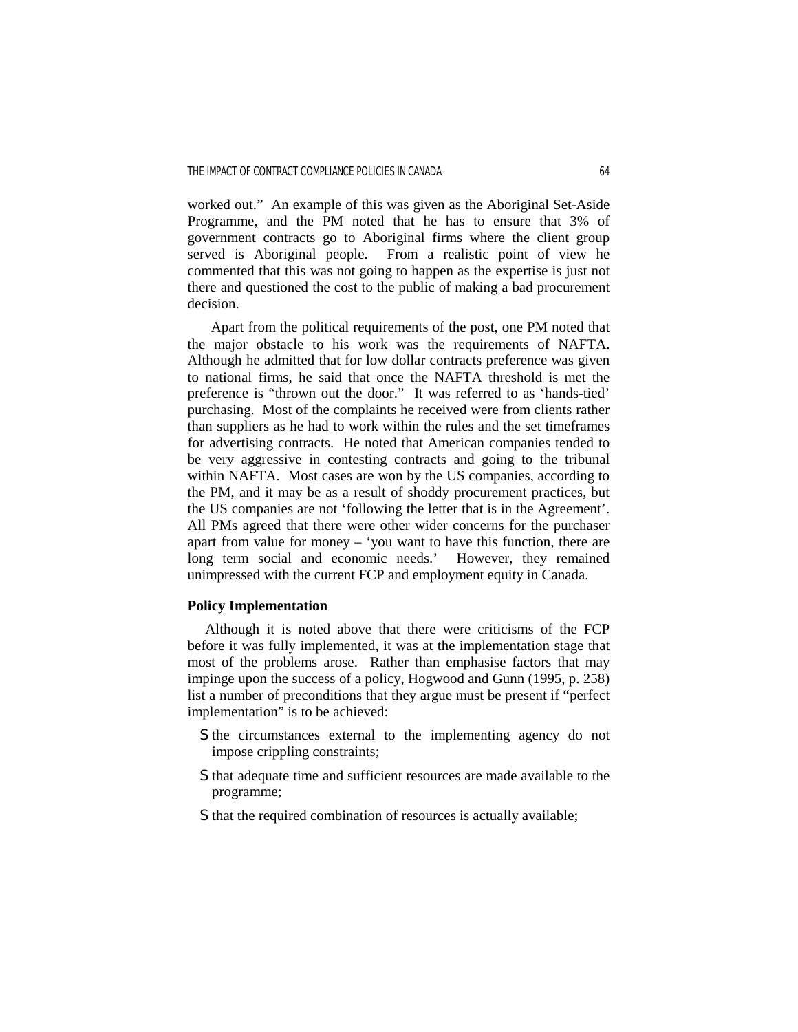worked out." An example of this was given as the Aboriginal Set-Aside Programme, and the PM noted that he has to ensure that 3% of government contracts go to Aboriginal firms where the client group served is Aboriginal people. From a realistic point of view he commented that this was not going to happen as the expertise is just not there and questioned the cost to the public of making a bad procurement decision.

 Apart from the political requirements of the post, one PM noted that the major obstacle to his work was the requirements of NAFTA. Although he admitted that for low dollar contracts preference was given to national firms, he said that once the NAFTA threshold is met the preference is "thrown out the door." It was referred to as 'hands-tied' purchasing. Most of the complaints he received were from clients rather than suppliers as he had to work within the rules and the set timeframes for advertising contracts. He noted that American companies tended to be very aggressive in contesting contracts and going to the tribunal within NAFTA. Most cases are won by the US companies, according to the PM, and it may be as a result of shoddy procurement practices, but the US companies are not 'following the letter that is in the Agreement'. All PMs agreed that there were other wider concerns for the purchaser apart from value for money – 'you want to have this function, there are long term social and economic needs.' However, they remained unimpressed with the current FCP and employment equity in Canada.

### **Policy Implementation**

 Although it is noted above that there were criticisms of the FCP before it was fully implemented, it was at the implementation stage that most of the problems arose. Rather than emphasise factors that may impinge upon the success of a policy, Hogwood and Gunn (1995, p. 258) list a number of preconditions that they argue must be present if "perfect implementation" is to be achieved:

- S the circumstances external to the implementing agency do not impose crippling constraints;
- S that adequate time and sufficient resources are made available to the programme;
- S that the required combination of resources is actually available;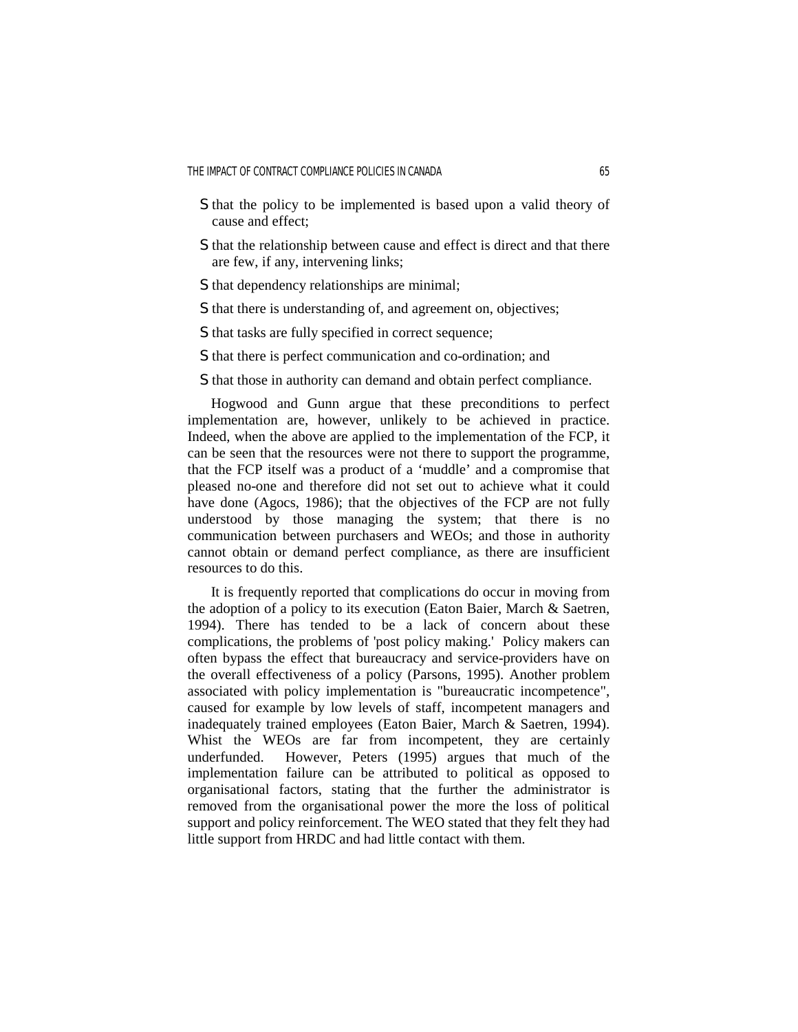- S that the policy to be implemented is based upon a valid theory of cause and effect;
- S that the relationship between cause and effect is direct and that there are few, if any, intervening links;
- S that dependency relationships are minimal;
- S that there is understanding of, and agreement on, objectives;
- S that tasks are fully specified in correct sequence;
- S that there is perfect communication and co-ordination; and
- S that those in authority can demand and obtain perfect compliance.

 Hogwood and Gunn argue that these preconditions to perfect implementation are, however, unlikely to be achieved in practice. Indeed, when the above are applied to the implementation of the FCP, it can be seen that the resources were not there to support the programme, that the FCP itself was a product of a 'muddle' and a compromise that pleased no-one and therefore did not set out to achieve what it could have done (Agocs, 1986); that the objectives of the FCP are not fully understood by those managing the system; that there is no communication between purchasers and WEOs; and those in authority cannot obtain or demand perfect compliance, as there are insufficient resources to do this.

 It is frequently reported that complications do occur in moving from the adoption of a policy to its execution (Eaton Baier, March & Saetren, 1994). There has tended to be a lack of concern about these complications, the problems of 'post policy making.' Policy makers can often bypass the effect that bureaucracy and service-providers have on the overall effectiveness of a policy (Parsons, 1995). Another problem associated with policy implementation is "bureaucratic incompetence", caused for example by low levels of staff, incompetent managers and inadequately trained employees (Eaton Baier, March & Saetren, 1994). Whist the WEOs are far from incompetent, they are certainly underfunded. However, Peters (1995) argues that much of the implementation failure can be attributed to political as opposed to organisational factors, stating that the further the administrator is removed from the organisational power the more the loss of political support and policy reinforcement. The WEO stated that they felt they had little support from HRDC and had little contact with them.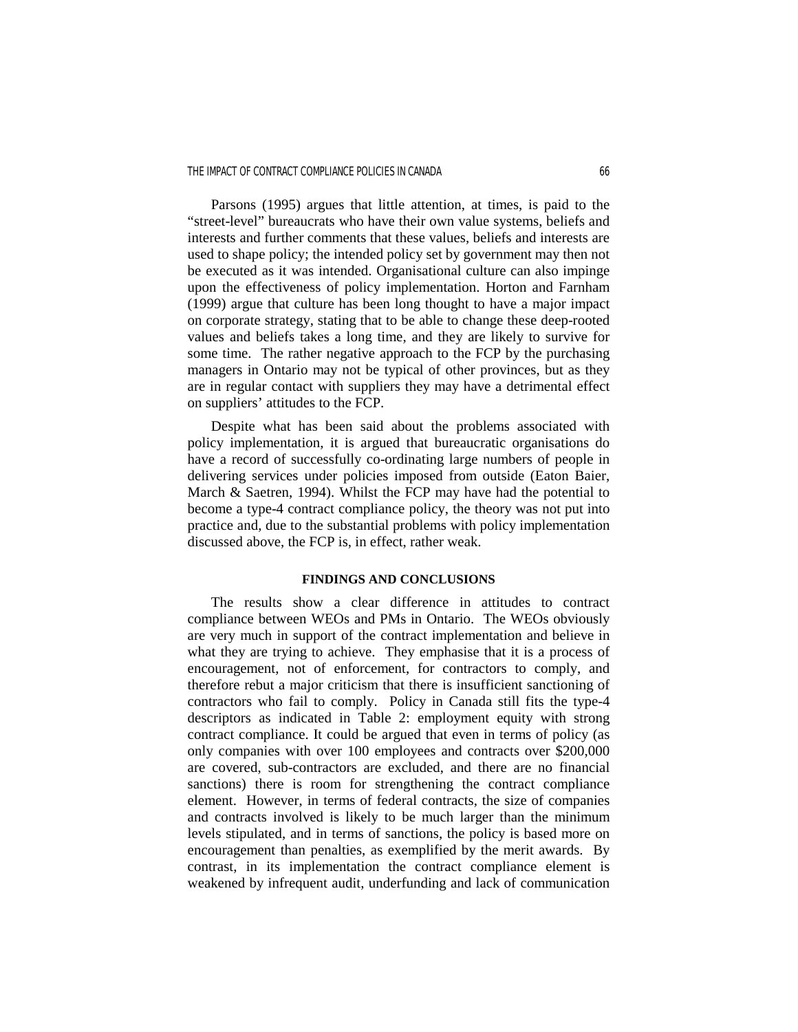#### THE IMPACT OF CONTRACT COMPLIANCE POLICIES IN CANADA 66

 Parsons (1995) argues that little attention, at times, is paid to the "street-level" bureaucrats who have their own value systems, beliefs and interests and further comments that these values, beliefs and interests are used to shape policy; the intended policy set by government may then not be executed as it was intended. Organisational culture can also impinge upon the effectiveness of policy implementation. Horton and Farnham (1999) argue that culture has been long thought to have a major impact on corporate strategy, stating that to be able to change these deep-rooted values and beliefs takes a long time, and they are likely to survive for some time. The rather negative approach to the FCP by the purchasing managers in Ontario may not be typical of other provinces, but as they are in regular contact with suppliers they may have a detrimental effect on suppliers' attitudes to the FCP.

 Despite what has been said about the problems associated with policy implementation, it is argued that bureaucratic organisations do have a record of successfully co-ordinating large numbers of people in delivering services under policies imposed from outside (Eaton Baier, March & Saetren, 1994). Whilst the FCP may have had the potential to become a type-4 contract compliance policy, the theory was not put into practice and, due to the substantial problems with policy implementation discussed above, the FCP is, in effect, rather weak.

### **FINDINGS AND CONCLUSIONS**

 The results show a clear difference in attitudes to contract compliance between WEOs and PMs in Ontario. The WEOs obviously are very much in support of the contract implementation and believe in what they are trying to achieve. They emphasise that it is a process of encouragement, not of enforcement, for contractors to comply, and therefore rebut a major criticism that there is insufficient sanctioning of contractors who fail to comply. Policy in Canada still fits the type-4 descriptors as indicated in Table 2: employment equity with strong contract compliance. It could be argued that even in terms of policy (as only companies with over 100 employees and contracts over \$200,000 are covered, sub-contractors are excluded, and there are no financial sanctions) there is room for strengthening the contract compliance element. However, in terms of federal contracts, the size of companies and contracts involved is likely to be much larger than the minimum levels stipulated, and in terms of sanctions, the policy is based more on encouragement than penalties, as exemplified by the merit awards. By contrast, in its implementation the contract compliance element is weakened by infrequent audit, underfunding and lack of communication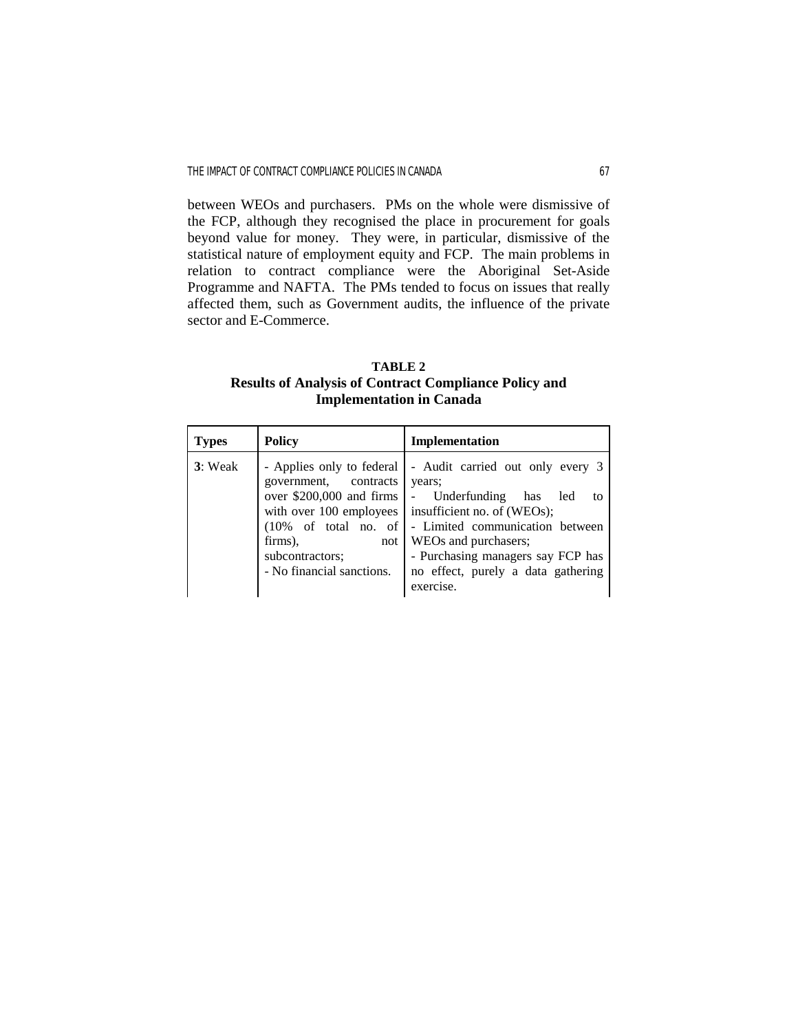between WEOs and purchasers. PMs on the whole were dismissive of the FCP, although they recognised the place in procurement for goals beyond value for money. They were, in particular, dismissive of the statistical nature of employment equity and FCP. The main problems in relation to contract compliance were the Aboriginal Set-Aside Programme and NAFTA. The PMs tended to focus on issues that really affected them, such as Government audits, the influence of the private sector and E-Commerce.

**TABLE 2 Results of Analysis of Contract Compliance Policy and Implementation in Canada** 

| <b>Types</b> | <b>Policy</b>                                                                                                                                                                        | Implementation                                                                                                                                                                                                                                                                                  |
|--------------|--------------------------------------------------------------------------------------------------------------------------------------------------------------------------------------|-------------------------------------------------------------------------------------------------------------------------------------------------------------------------------------------------------------------------------------------------------------------------------------------------|
| 3: Weak      | - Applies only to federal<br>government, contracts<br>over \$200,000 and firms<br>$(10\% \text{ of total no. of})$<br>firms),<br>not<br>subcontractors;<br>- No financial sanctions. | - Audit carried out only every 3<br>years;<br>- Underfunding has<br>led<br>tο<br>with over 100 employees $\vert$ insufficient no. of (WEOs);<br>- Limited communication between<br>WEOs and purchasers;<br>- Purchasing managers say FCP has<br>no effect, purely a data gathering<br>exercise. |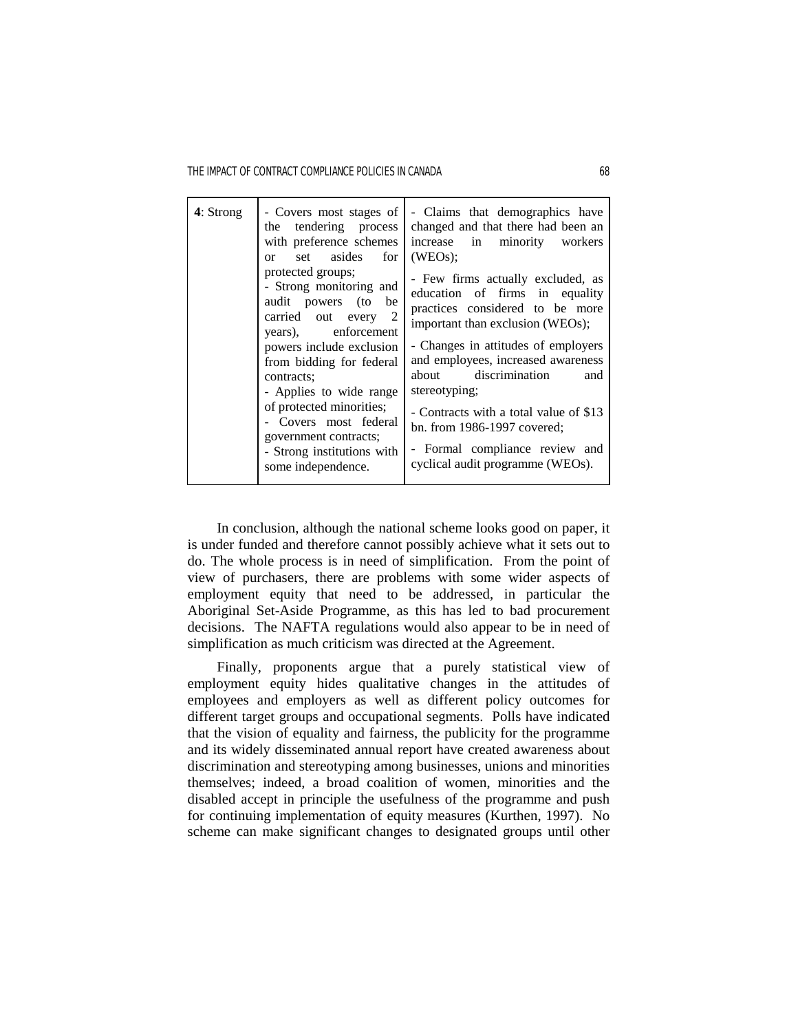THE IMPACT OF CONTRACT COMPLIANCE POLICIES IN CANADA 68

| 4: Strong | the tendering process<br>with preference schemes<br>or set asides<br>for 1<br>protected groups;<br>- Strong monitoring and<br>audit powers (to<br>be<br>carried out every 2<br>years), enforcement<br>powers include exclusion<br>from bidding for federal<br>contracts;<br>- Applies to wide range<br>of protected minorities;<br>- Covers most federal<br>government contracts;<br>- Strong institutions with | - Covers most stages of   - Claims that demographics have<br>changed and that there had been an<br>increase in minority workers<br>$(WEOs)$ :<br>- Few firms actually excluded, as<br>education of firms in equality<br>practices considered to be more<br>important than exclusion (WEOs);<br>- Changes in attitudes of employers<br>and employees, increased awareness<br>about discrimination<br>and<br>stereotyping;<br>- Contracts with a total value of \$13<br>bn. from 1986-1997 covered;<br>- Formal compliance review and<br>cyclical audit programme (WEOs). |
|-----------|-----------------------------------------------------------------------------------------------------------------------------------------------------------------------------------------------------------------------------------------------------------------------------------------------------------------------------------------------------------------------------------------------------------------|-------------------------------------------------------------------------------------------------------------------------------------------------------------------------------------------------------------------------------------------------------------------------------------------------------------------------------------------------------------------------------------------------------------------------------------------------------------------------------------------------------------------------------------------------------------------------|
|           | some independence.                                                                                                                                                                                                                                                                                                                                                                                              |                                                                                                                                                                                                                                                                                                                                                                                                                                                                                                                                                                         |

 In conclusion, although the national scheme looks good on paper, it is under funded and therefore cannot possibly achieve what it sets out to do. The whole process is in need of simplification. From the point of view of purchasers, there are problems with some wider aspects of employment equity that need to be addressed, in particular the Aboriginal Set-Aside Programme, as this has led to bad procurement decisions. The NAFTA regulations would also appear to be in need of simplification as much criticism was directed at the Agreement.

 Finally, proponents argue that a purely statistical view of employment equity hides qualitative changes in the attitudes of employees and employers as well as different policy outcomes for different target groups and occupational segments. Polls have indicated that the vision of equality and fairness, the publicity for the programme and its widely disseminated annual report have created awareness about discrimination and stereotyping among businesses, unions and minorities themselves; indeed, a broad coalition of women, minorities and the disabled accept in principle the usefulness of the programme and push for continuing implementation of equity measures (Kurthen, 1997). No scheme can make significant changes to designated groups until other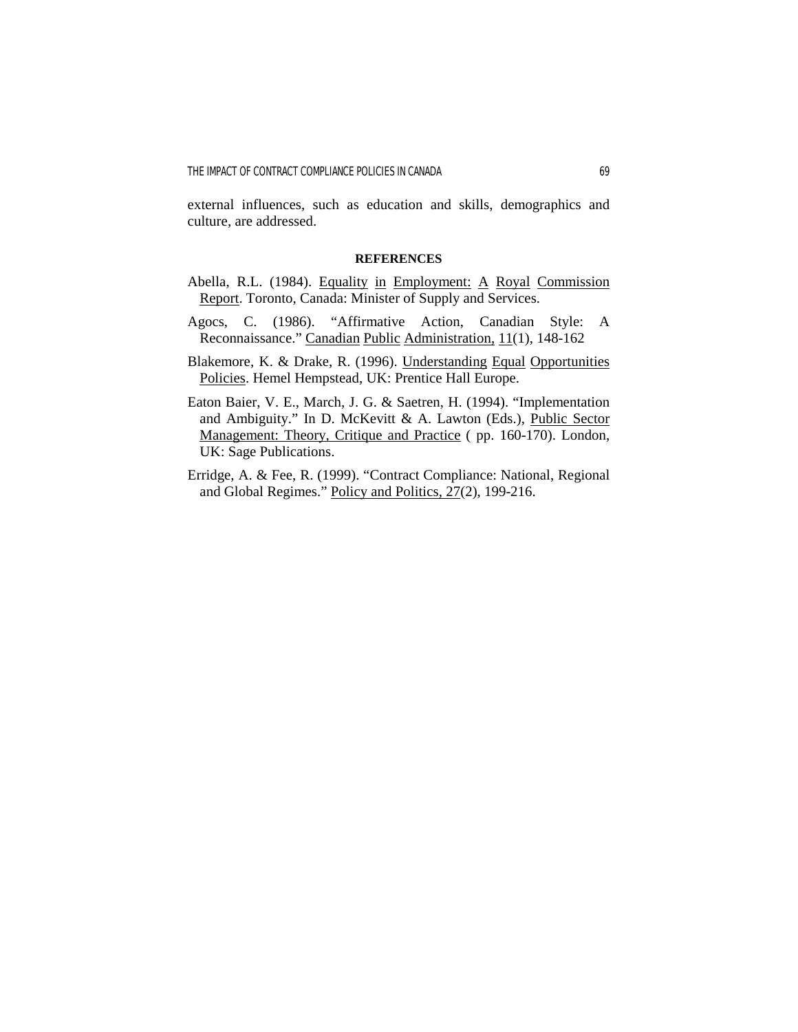external influences, such as education and skills, demographics and culture, are addressed.

### **REFERENCES**

- Abella, R.L. (1984). Equality in Employment: A Royal Commission Report. Toronto, Canada: Minister of Supply and Services.
- Agocs, C. (1986). "Affirmative Action, Canadian Style: A Reconnaissance." Canadian Public Administration, 11(1), 148-162
- Blakemore, K. & Drake, R. (1996). Understanding Equal Opportunities Policies. Hemel Hempstead, UK: Prentice Hall Europe.
- Eaton Baier, V. E., March, J. G. & Saetren, H. (1994). "Implementation and Ambiguity." In D. McKevitt & A. Lawton (Eds.), Public Sector Management: Theory, Critique and Practice ( pp. 160-170). London, UK: Sage Publications.
- Erridge, A. & Fee, R. (1999). "Contract Compliance: National, Regional and Global Regimes." Policy and Politics, 27(2), 199-216.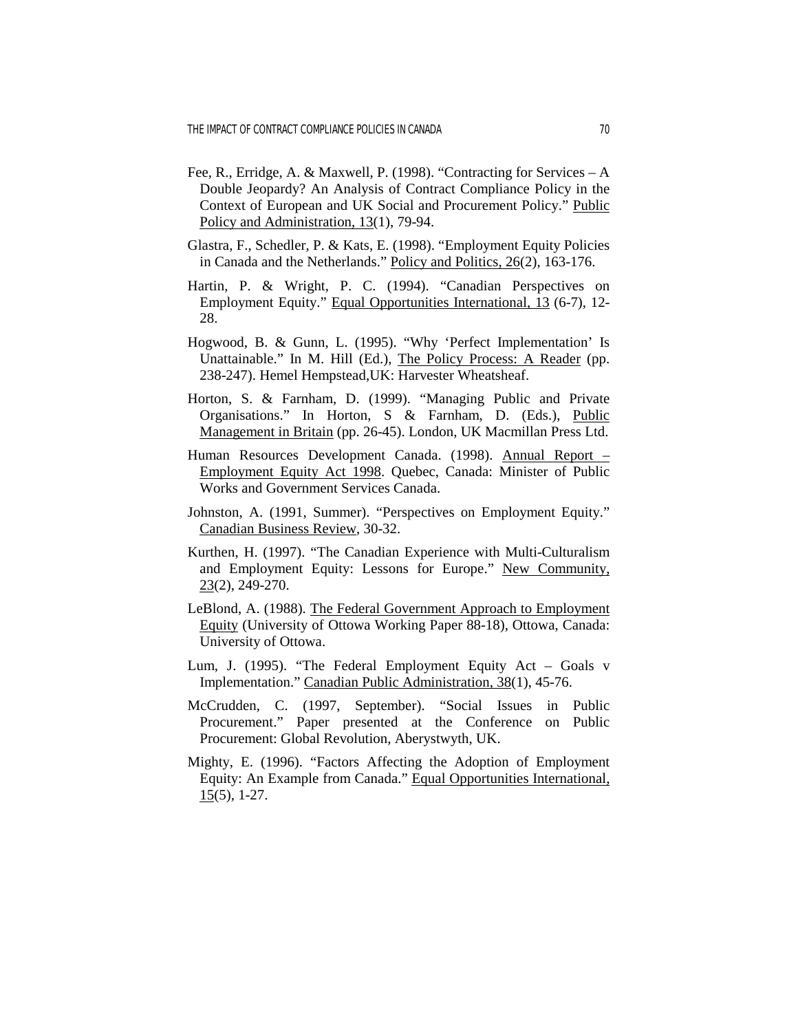- Fee, R., Erridge, A. & Maxwell, P. (1998). "Contracting for Services A Double Jeopardy? An Analysis of Contract Compliance Policy in the Context of European and UK Social and Procurement Policy." Public Policy and Administration, 13(1), 79-94.
- Glastra, F., Schedler, P. & Kats, E. (1998). "Employment Equity Policies in Canada and the Netherlands." Policy and Politics, 26(2), 163-176.
- Hartin, P. & Wright, P. C. (1994). "Canadian Perspectives on Employment Equity." Equal Opportunities International, 13 (6-7), 12- 28.
- Hogwood, B. & Gunn, L. (1995). "Why 'Perfect Implementation' Is Unattainable." In M. Hill (Ed.), The Policy Process: A Reader (pp. 238-247). Hemel Hempstead,UK: Harvester Wheatsheaf.
- Horton, S. & Farnham, D. (1999). "Managing Public and Private Organisations." In Horton, S & Farnham, D. (Eds.), Public Management in Britain (pp. 26-45). London, UK Macmillan Press Ltd.
- Human Resources Development Canada. (1998). Annual Report Employment Equity Act 1998. Quebec, Canada: Minister of Public Works and Government Services Canada.
- Johnston, A. (1991, Summer). "Perspectives on Employment Equity." Canadian Business Review, 30-32.
- Kurthen, H. (1997). "The Canadian Experience with Multi-Culturalism and Employment Equity: Lessons for Europe." New Community, 23(2), 249-270.
- LeBlond, A. (1988). The Federal Government Approach to Employment Equity (University of Ottowa Working Paper 88-18), Ottowa, Canada: University of Ottowa.
- Lum, J. (1995). "The Federal Employment Equity Act Goals v Implementation." Canadian Public Administration, 38(1), 45-76.
- McCrudden, C. (1997, September). "Social Issues in Public Procurement." Paper presented at the Conference on Public Procurement: Global Revolution, Aberystwyth, UK.
- Mighty, E. (1996). "Factors Affecting the Adoption of Employment Equity: An Example from Canada." Equal Opportunities International,  $15(5)$ , 1-27.